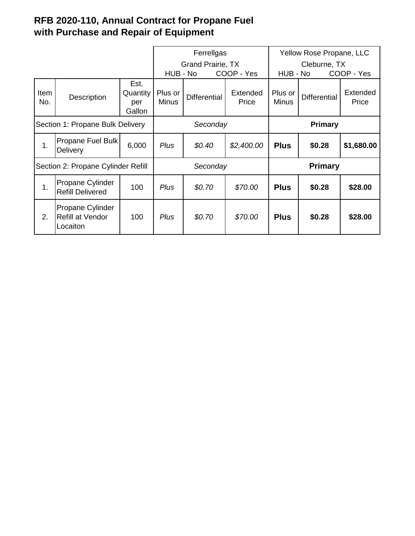## **RFB 2020-110, Annual Contract for Propane Fuel with Purchase and Repair of Equipment**

|                                    |                                                         |                                   | Ferrellgas                    |                     |                                 | Yellow Rose Propane, LLC               |                     |                   |
|------------------------------------|---------------------------------------------------------|-----------------------------------|-------------------------------|---------------------|---------------------------------|----------------------------------------|---------------------|-------------------|
|                                    |                                                         |                                   | Grand Prairie, TX<br>HUB - No |                     |                                 | Cleburne, TX<br>HUB - No<br>COOP - Yes |                     |                   |
| Item<br>No.                        | Description                                             | Est.<br>Quantity<br>per<br>Gallon | Plus or<br><b>Minus</b>       | <b>Differential</b> | COOP - Yes<br>Extended<br>Price | Plus or<br><b>Minus</b>                | <b>Differential</b> | Extended<br>Price |
| Section 1: Propane Bulk Delivery   |                                                         |                                   | Seconday                      |                     |                                 | <b>Primary</b>                         |                     |                   |
| 1.                                 | Propane Fuel Bulk<br>Delivery                           | 6,000                             | <b>Plus</b>                   | \$0.40              | \$2,400.00                      | <b>Plus</b>                            | \$0.28              | \$1,680.00        |
| Section 2: Propane Cylinder Refill |                                                         |                                   | Seconday                      |                     |                                 | <b>Primary</b>                         |                     |                   |
| 1.                                 | Propane Cylinder<br><b>Refill Delivered</b>             | 100                               | Plus                          | \$0.70              | \$70.00                         | <b>Plus</b>                            | \$0.28              | \$28.00           |
| 2.                                 | Propane Cylinder<br><b>Refill at Vendor</b><br>Locaiton | 100                               | Plus                          | \$0.70              | \$70.00                         | <b>Plus</b>                            | \$0.28              | \$28.00           |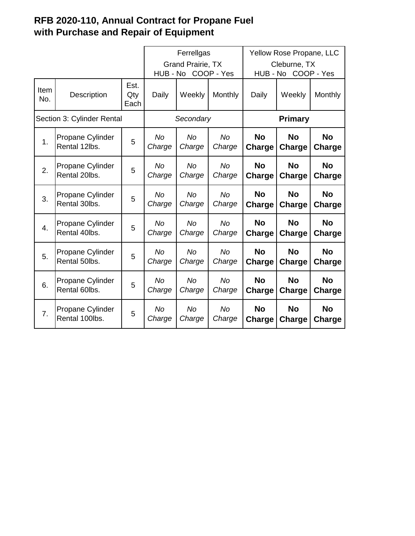## **RFB 2020-110, Annual Contract for Propane Fuel with Purchase and Repair of Equipment**

|                            |                                    |                     | Ferrellgas               |                        |                     | Yellow Rose Propane, LLC   |                        |                     |  |
|----------------------------|------------------------------------|---------------------|--------------------------|------------------------|---------------------|----------------------------|------------------------|---------------------|--|
|                            |                                    |                     | <b>Grand Prairie, TX</b> |                        |                     | Cleburne, TX               |                        |                     |  |
|                            |                                    |                     |                          | COOP - Yes<br>HUB - No |                     |                            | COOP - Yes<br>HUB - No |                     |  |
| <b>Item</b><br>No.         | Description                        | Est.<br>Qty<br>Each | Daily                    | Weekly                 | Monthly             | Daily                      | Weekly                 | Monthly             |  |
| Section 3: Cylinder Rental |                                    |                     | Secondary                |                        |                     | Primary                    |                        |                     |  |
| 1.                         | Propane Cylinder<br>Rental 12lbs.  | 5                   | <b>No</b><br>Charge      | <b>No</b><br>Charge    | <b>No</b><br>Charge | <b>No</b><br>Charge        | <b>No</b><br>Charge    | <b>No</b><br>Charge |  |
| 2.                         | Propane Cylinder<br>Rental 20lbs.  | 5                   | <b>No</b><br>Charge      | <b>No</b><br>Charge    | <b>No</b><br>Charge | <b>No</b><br><b>Charge</b> | <b>No</b><br>Charge    | <b>No</b><br>Charge |  |
| 3.                         | Propane Cylinder<br>Rental 30lbs.  | 5                   | <b>No</b><br>Charge      | <b>No</b><br>Charge    | <b>No</b><br>Charge | <b>No</b><br>Charge        | <b>No</b><br>Charge    | <b>No</b><br>Charge |  |
| $\overline{4}$ .           | Propane Cylinder<br>Rental 40lbs.  | 5                   | <b>No</b><br>Charge      | <b>No</b><br>Charge    | <b>No</b><br>Charge | <b>No</b><br>Charge        | <b>No</b><br>Charge    | <b>No</b><br>Charge |  |
| 5.                         | Propane Cylinder<br>Rental 50lbs.  | 5                   | <b>No</b><br>Charge      | <b>No</b><br>Charge    | <b>No</b><br>Charge | <b>No</b><br>Charge        | <b>No</b><br>Charge    | <b>No</b><br>Charge |  |
| 6.                         | Propane Cylinder<br>Rental 60lbs.  | 5                   | <b>No</b><br>Charge      | <b>No</b><br>Charge    | <b>No</b><br>Charge | <b>No</b><br>Charge        | <b>No</b><br>Charge    | <b>No</b><br>Charge |  |
| 7 <sub>1</sub>             | Propane Cylinder<br>Rental 100lbs. | 5                   | <b>No</b><br>Charge      | No<br>Charge           | <b>No</b><br>Charge | <b>No</b><br>Charge        | <b>No</b><br>Charge    | <b>No</b><br>Charge |  |